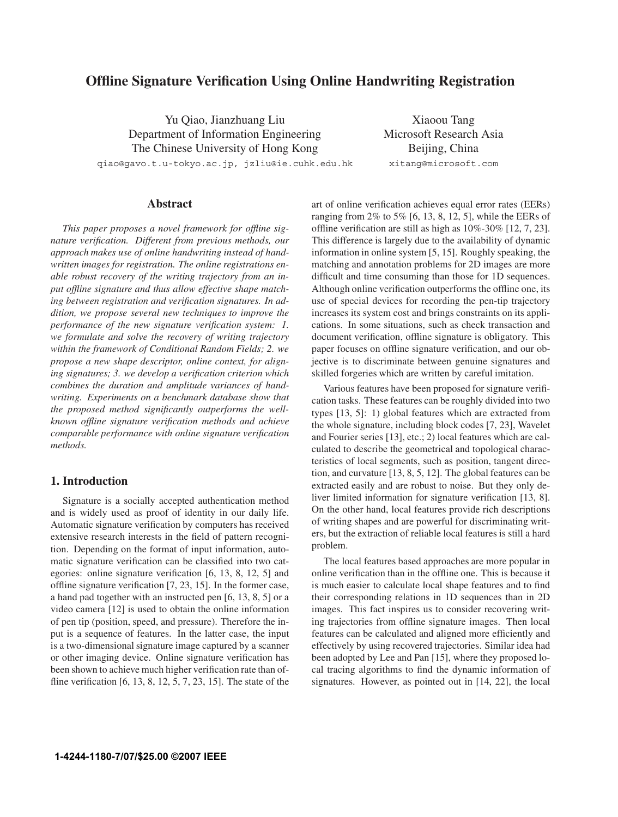# **Offline Signature Verification Using Online Handwriting Registration**

Yu Qiao, Jianzhuang Liu Department of Information Engineering The Chinese University of Hong Kong qiao@gavo.t.u-tokyo.ac.jp, jzliu@ie.cuhk.edu.hk

Xiaoou Tang Microsoft Research Asia Beijing, China xitang@microsoft.com

# **Abstract**

*This paper proposes a novel framework for offline signature verification. Different from previous methods, our approach makes use of online handwriting instead of handwritten images for registration. The online registrations enable robust recovery of the writing trajectory from an input offline signature and thus allow effective shape matching between registration and verification signatures. In addition, we propose several new techniques to improve the performance of the new signature verification system: 1. we formulate and solve the recovery of writing trajectory within the framework of Conditional Random Fields; 2. we propose a new shape descriptor, online context, for aligning signatures; 3. we develop a verification criterion which combines the duration and amplitude variances of handwriting. Experiments on a benchmark database show that the proposed method significantly outperforms the wellknown offline signature verification methods and achieve comparable performance with online signature verification methods.*

# **1. Introduction**

Signature is a socially accepted authentication method and is widely used as proof of identity in our daily life. Automatic signature verification by computers has received extensive research interests in the field of pattern recognition. Depending on the format of input information, automatic signature verification can be classified into two categories: online signature verification [6, 13, 8, 12, 5] and offline signature verification [7, 23, 15]. In the former case, a hand pad together with an instructed pen [6, 13, 8, 5] or a video camera [12] is used to obtain the online information of pen tip (position, speed, and pressure). Therefore the input is a sequence of features. In the latter case, the input is a two-dimensional signature image captured by a scanner or other imaging device. Online signature verification has been shown to achieve much higher verification rate than offline verification [6, 13, 8, 12, 5, 7, 23, 15]. The state of the art of online verification achieves equal error rates (EERs) ranging from 2% to 5% [6, 13, 8, 12, 5], while the EERs of offline verification are still as high as 10%-30% [12, 7, 23]. This difference is largely due to the availability of dynamic information in online system [5, 15]. Roughly speaking, the matching and annotation problems for 2D images are more difficult and time consuming than those for 1D sequences. Although online verification outperforms the offline one, its use of special devices for recording the pen-tip trajectory increases its system cost and brings constraints on its applications. In some situations, such as check transaction and document verification, offline signature is obligatory. This paper focuses on offline signature verification, and our objective is to discriminate between genuine signatures and skilled forgeries which are written by careful imitation.

Various features have been proposed for signature verification tasks. These features can be roughly divided into two types [13, 5]: 1) global features which are extracted from the whole signature, including block codes [7, 23], Wavelet and Fourier series [13], etc.; 2) local features which are calculated to describe the geometrical and topological characteristics of local segments, such as position, tangent direction, and curvature [13, 8, 5, 12]. The global features can be extracted easily and are robust to noise. But they only deliver limited information for signature verification [13, 8]. On the other hand, local features provide rich descriptions of writing shapes and are powerful for discriminating writers, but the extraction of reliable local features is still a hard problem.

The local features based approaches are more popular in online verification than in the offline one. This is because it is much easier to calculate local shape features and to find their corresponding relations in 1D sequences than in 2D images. This fact inspires us to consider recovering writing trajectories from offline signature images. Then local features can be calculated and aligned more efficiently and effectively by using recovered trajectories. Similar idea had been adopted by Lee and Pan [15], where they proposed local tracing algorithms to find the dynamic information of signatures. However, as pointed out in [14, 22], the local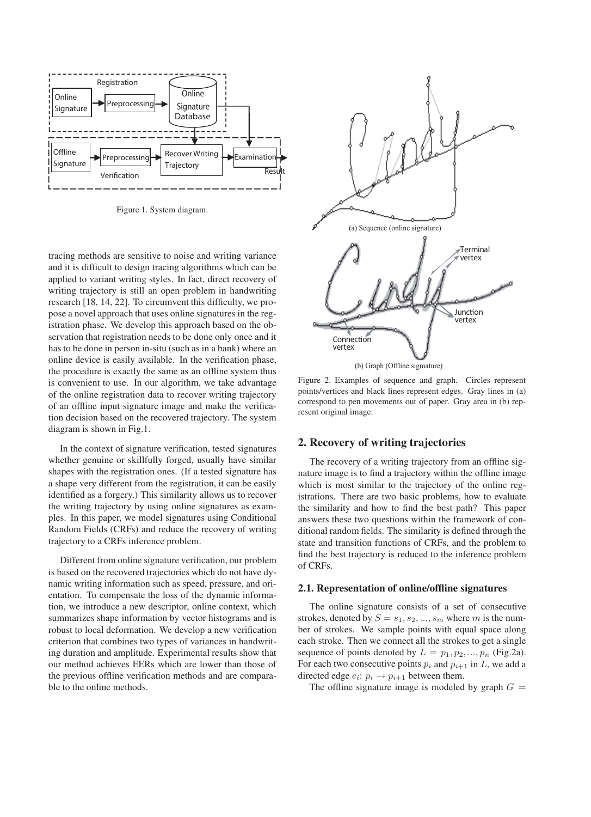

Figure 1. System diagram.

tracing methods are sensitive to noise and writing variance and it is difficult to design tracing algorithms which can be applied to variant writing styles. In fact, direct recovery of writing trajectory is still an open problem in handwriting research [18, 14, 22]. To circumvent this difficulty, we propose a novel approach that uses online signatures in the registration phase. We develop this approach based on the observation that registration needs to be done only once and it has to be done in person in-situ (such as in a bank) where an online device is easily available. In the verification phase, the procedure is exactly the same as an offline system thus is convenient to use. In our algorithm, we take advantage of the online registration data to recover writing trajectory of an offline input signature image and make the verification decision based on the recovered trajectory. The system diagram is shown in Fig.1.

In the context of signature verification, tested signatures whether genuine or skillfully forged, usually have similar shapes with the registration ones. (If a tested signature has a shape very different from the registration, it can be easily identified as a forgery.) This similarity allows us to recover the writing trajectory by using online signatures as examples. In this paper, we model signatures using Conditional Random Fields (CRFs) and reduce the recovery of writing trajectory to a CRFs inference problem.

Different from online signature verification, our problem is based on the recovered trajectories which do not have dynamic writing information such as speed, pressure, and orientation. To compensate the loss of the dynamic information, we introduce a new descriptor, online context, which summarizes shape information by vector histograms and is robust to local deformation. We develop a new verification criterion that combines two types of variances in handwriting duration and amplitude. Experimental results show that our method achieves EERs which are lower than those of the previous offline verification methods and are comparable to the online methods.



Figure 2. Examples of sequence and graph. Circles represent points/vertices and black lines represent edges. Gray lines in (a) correspond to pen movements out of paper. Gray area in (b) represent original image.

# **2. Recovery of writing trajectories**

The recovery of a writing trajectory from an offline signature image is to find a trajectory within the offline image which is most similar to the trajectory of the online registrations. There are two basic problems, how to evaluate the similarity and how to find the best path? This paper answers these two questions within the framework of conditional random fields. The similarity is defined through the state and transition functions of CRFs, and the problem to find the best trajectory is reduced to the inference problem of CRFs.

# **2.1. Representation of online/offline signatures**

The online signature consists of a set of consecutive strokes, denoted by  $S = s_1, s_2, ..., s_m$  where m is the number of strokes. We sample points with equal space along each stroke. Then we connect all the strokes to get a single sequence of points denoted by  $L = p_1, p_2, ..., p_n$  (Fig.2a). For each two consecutive points  $p_i$  and  $p_{i+1}$  in  $L$ , we add a directed edge  $e_i: p_i \rightarrow p_{i+1}$  between them.

The offline signature image is modeled by graph  $G =$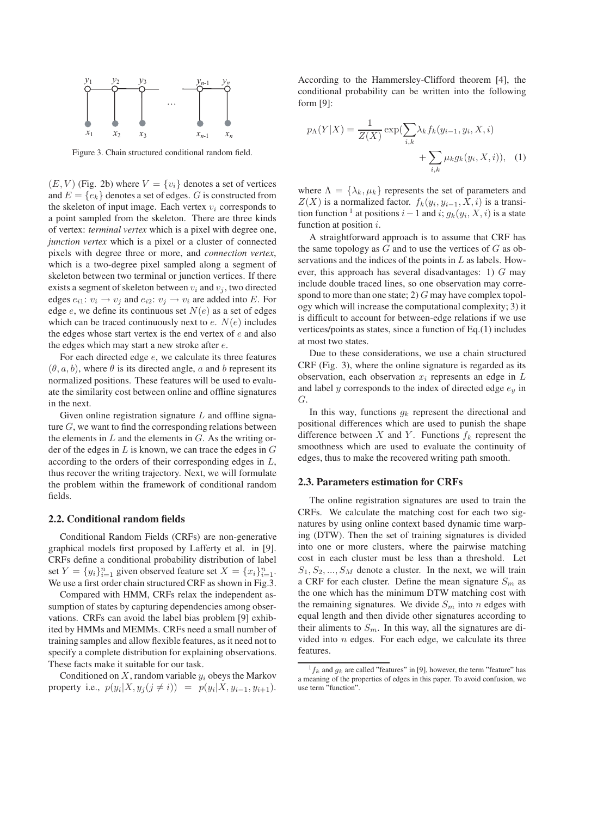

Figure 3. Chain structured conditional random field.

 $(E, V)$  (Fig. 2b) where  $V = \{v_i\}$  denotes a set of vertices and  $E = \{e_k\}$  denotes a set of edges. G is constructed from the skeleton of input image. Each vertex  $v_i$  corresponds to a point sampled from the skeleton. There are three kinds of vertex: *terminal vertex* which is a pixel with degree one, *junction vertex* which is a pixel or a cluster of connected pixels with degree three or more, and *connection vertex*, which is a two-degree pixel sampled along a segment of skeleton between two terminal or junction vertices. If there exists a segment of skeleton between  $v_i$  and  $v_j$ , two directed edges  $e_{i1}: v_i \rightarrow v_j$  and  $e_{i2}: v_j \rightarrow v_i$  are added into E. For edge e, we define its continuous set  $N(e)$  as a set of edges which can be traced continuously next to  $e$ .  $N(e)$  includes the edges whose start vertex is the end vertex of  $e$  and also the edges which may start a new stroke after e.

For each directed edge e, we calculate its three features  $(\theta, a, b)$ , where  $\theta$  is its directed angle, a and b represent its normalized positions. These features will be used to evaluate the similarity cost between online and offline signatures in the next.

Given online registration signature  $L$  and offline signature  $G$ , we want to find the corresponding relations between the elements in  $L$  and the elements in  $G$ . As the writing order of the edges in  $L$  is known, we can trace the edges in  $G$ according to the orders of their corresponding edges in L, thus recover the writing trajectory. Next, we will formulate the problem within the framework of conditional random fields.

#### **2.2. Conditional random fields**

Conditional Random Fields (CRFs) are non-generative graphical models first proposed by Lafferty et al. in [9]. CRFs define a conditional probability distribution of label set  $Y = \{y_i\}_{i=1}^n$  given observed feature set  $X = \{x_i\}_{i=1}^n$ . We use a first order chain structured CRF as shown in Fig.3.

Compared with HMM, CRFs relax the independent assumption of states by capturing dependencies among observations. CRFs can avoid the label bias problem [9] exhibited by HMMs and MEMMs. CRFs need a small number of training samples and allow flexible features, as it need not to specify a complete distribution for explaining observations. These facts make it suitable for our task.

Conditioned on X, random variable y*<sup>i</sup>* obeys the Markov property i.e.,  $p(y_i|X, y_j(j \neq i)) = p(y_i|X, y_{i-1}, y_{i+1}).$ 

According to the Hammersley-Clifford theorem [4], the conditional probability can be written into the following form [9]:

$$
p_{\Lambda}(Y|X) = \frac{1}{Z(X)} \exp(\sum_{i,k} \lambda_k f_k(y_{i-1}, y_i, X, i)) + \sum_{i,k} \mu_k g_k(y_i, X, i)), \quad (1)
$$

where  $\Lambda = {\lambda_k, \mu_k}$  represents the set of parameters and  $Z(X)$  is a normalized factor.  $f_k(y_i, y_{i-1}, X, i)$  is a transition function <sup>1</sup> at positions  $i-1$  and  $i$ ;  $g_k(y_i, X, i)$  is a state function at position  $i$ .

A straightforward approach is to assume that CRF has the same topology as  $G$  and to use the vertices of  $G$  as observations and the indices of the points in  $L$  as labels. However, this approach has several disadvantages: 1)  $G$  may include double traced lines, so one observation may correspond to more than one state; 2)  $G$  may have complex topology which will increase the computational complexity; 3) it is difficult to account for between-edge relations if we use vertices/points as states, since a function of Eq.(1) includes at most two states.

Due to these considerations, we use a chain structured CRF (Fig. 3), where the online signature is regarded as its observation, each observation x*<sup>i</sup>* represents an edge in L and label  $y$  corresponds to the index of directed edge  $e_y$  in G.

In this way, functions  $g_k$  represent the directional and positional differences which are used to punish the shape difference between X and Y. Functions  $f_k$  represent the smoothness which are used to evaluate the continuity of edges, thus to make the recovered writing path smooth.

# **2.3. Parameters estimation for CRFs**

The online registration signatures are used to train the CRFs. We calculate the matching cost for each two signatures by using online context based dynamic time warping (DTW). Then the set of training signatures is divided into one or more clusters, where the pairwise matching cost in each cluster must be less than a threshold. Let  $S_1, S_2, ..., S_M$  denote a cluster. In the next, we will train a CRF for each cluster. Define the mean signature  $S_m$  as the one which has the minimum DTW matching cost with the remaining signatures. We divide  $S_m$  into n edges with equal length and then divide other signatures according to their aliments to S*m*. In this way, all the signatures are divided into  $n$  edges. For each edge, we calculate its three features.

 $\frac{1}{k}$  and  $g_k$  are called "features" in [9], however, the term "feature" has a meaning of the properties of edges in this paper. To avoid confusion, we use term "function".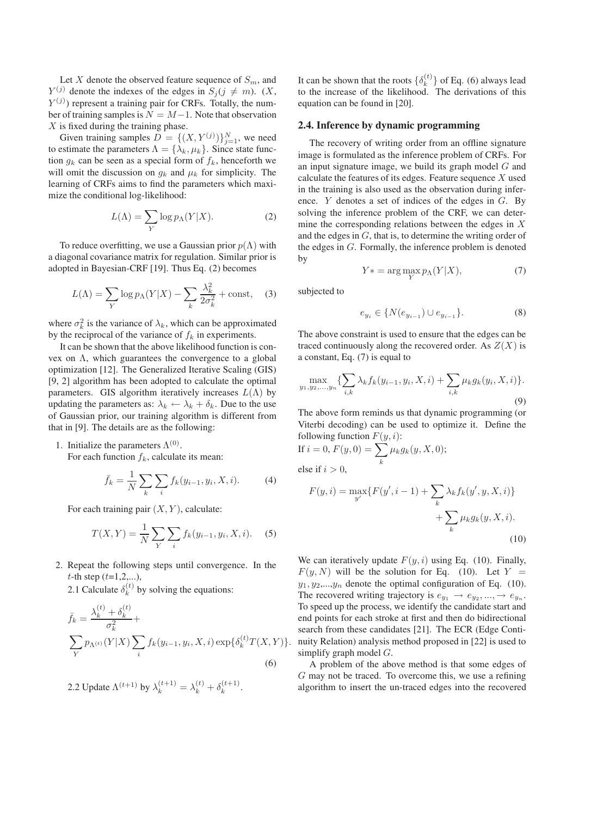Let  $X$  denote the observed feature sequence of  $S_m$ , and  $Y^{(j)}$  denote the indexes of the edges in  $S_j (j \neq m)$ . (X,  $Y^{(j)}$ ) represent a training pair for CRFs. Totally, the number of training samples is  $N = M-1$ . Note that observation  $X$  is fixed during the training phase.

Given training samples  $D = \{(X, Y^{(j)})\}_{j=1}^N$ , we need to estimate the parameters  $\Lambda = {\lambda_k, \mu_k}$ . Since state function  $q_k$  can be seen as a special form of  $f_k$ , henceforth we will omit the discussion on  $q_k$  and  $\mu_k$  for simplicity. The learning of CRFs aims to find the parameters which maximize the conditional log-likelihood:

$$
L(\Lambda) = \sum_{Y} \log p_{\Lambda}(Y|X). \tag{2}
$$

To reduce overfitting, we use a Gaussian prior  $p(\Lambda)$  with a diagonal covariance matrix for regulation. Similar prior is adopted in Bayesian-CRF [19]. Thus Eq. (2) becomes

$$
L(\Lambda) = \sum_{Y} \log p_{\Lambda}(Y|X) - \sum_{k} \frac{\lambda_k^2}{2\sigma_k^2} + \text{const}, \quad (3)
$$

where  $\sigma_k^2$  is the variance of  $\lambda_k$ , which can be approximated by the reciprocal of the variance of  $f_k$  in experiments.

It can be shown that the above likelihood function is convex on Λ, which guarantees the convergence to a global optimization [12]. The Generalized Iterative Scaling (GIS) [9, 2] algorithm has been adopted to calculate the optimal parameters. GIS algorithm iteratively increases  $L(\Lambda)$  by updating the parameters as:  $\lambda_k \leftarrow \lambda_k + \delta_k$ . Due to the use of Gaussian prior, our training algorithm is different from that in [9]. The details are as the following:

1. Initialize the parameters  $\Lambda^{(0)}$ . For each function  $f_k$ , calculate its mean:

$$
\bar{f}_k = \frac{1}{N} \sum_{k} \sum_{i} f_k(y_{i-1}, y_i, X, i).
$$
 (4)

For each training pair  $(X, Y)$ , calculate:

$$
T(X,Y) = \frac{1}{N} \sum_{Y} \sum_{i} f_k(y_{i-1}, y_i, X, i).
$$
 (5)

2. Repeat the following steps until convergence. In the  $t$ -th step  $(t=1,2,...),$ 

2.1 Calculate  $\delta_k^{(t)}$  by solving the equations:

$$
\bar{f}_k = \frac{\lambda_k^{(t)} + \delta_k^{(t)}}{\sigma_k^2} + \sum_Y p_{\Lambda^{(t)}}(Y|X) \sum_i f_k(y_{i-1}, y_i, X, i) \exp{\{\delta_k^{(t)}T(X, Y)\}}.
$$
\n(6)

2.2 Update 
$$
\Lambda^{(t+1)}
$$
 by  $\lambda_k^{(t+1)} = \lambda_k^{(t)} + \delta_k^{(t+1)}$ .

It can be shown that the roots  $\{\delta_k^{(t)}\}$  of Eq. (6) always lead to the increase of the likelihood. The derivations of this equation can be found in [20].

#### **2.4. Inference by dynamic programming**

The recovery of writing order from an offline signature image is formulated as the inference problem of CRFs. For an input signature image, we build its graph model  $G$  and calculate the features of its edges. Feature sequence X used in the training is also used as the observation during inference. Y denotes a set of indices of the edges in G. By solving the inference problem of the CRF, we can determine the corresponding relations between the edges in  $X$ and the edges in G, that is, to determine the writing order of the edges in G. Formally, the inference problem is denoted by

$$
Y* = \arg\max_{Y} p_{\Lambda}(Y|X),\tag{7}
$$

subjected to

$$
e_{y_i} \in \{ N(e_{y_{i-1}}) \cup e_{y_{i-1}} \}.
$$
 (8)

The above constraint is used to ensure that the edges can be traced continuously along the recovered order. As  $Z(X)$  is a constant, Eq. (7) is equal to

$$
\max_{y_1, y_2, \dots, y_n} \{ \sum_{i,k} \lambda_k f_k(y_{i-1}, y_i, X, i) + \sum_{i,k} \mu_k g_k(y_i, X, i) \}.
$$
\n(9)

The above form reminds us that dynamic programming (or Viterbi decoding) can be used to optimize it. Define the following function  $F(y, i)$ :

If 
$$
i = 0
$$
,  $F(y, 0) = \sum_{k} \mu_k g_k(y, X, 0);$   
else if  $i > 0$ ,

$$
F(y, i) = \max_{y'} \{ F(y', i - 1) + \sum_{k} \lambda_k f_k(y', y, X, i) \} + \sum_{k} \mu_k g_k(y, X, i).
$$
\n(10)

We can iteratively update  $F(y, i)$  using Eq. (10). Finally,  $F(y, N)$  will be the solution for Eq. (10). Let  $Y =$  $y_1, y_2,...,y_n$  denote the optimal configuration of Eq. (10). The recovered writing trajectory is  $e_{y_1} \rightarrow e_{y_2}, ..., \rightarrow e_{y_n}$ . To speed up the process, we identify the candidate start and end points for each stroke at first and then do bidirectional search from these candidates [21]. The ECR (Edge Continuity Relation) analysis method proposed in [22] is used to simplify graph model  $G$ .

A problem of the above method is that some edges of G may not be traced. To overcome this, we use a refining algorithm to insert the un-traced edges into the recovered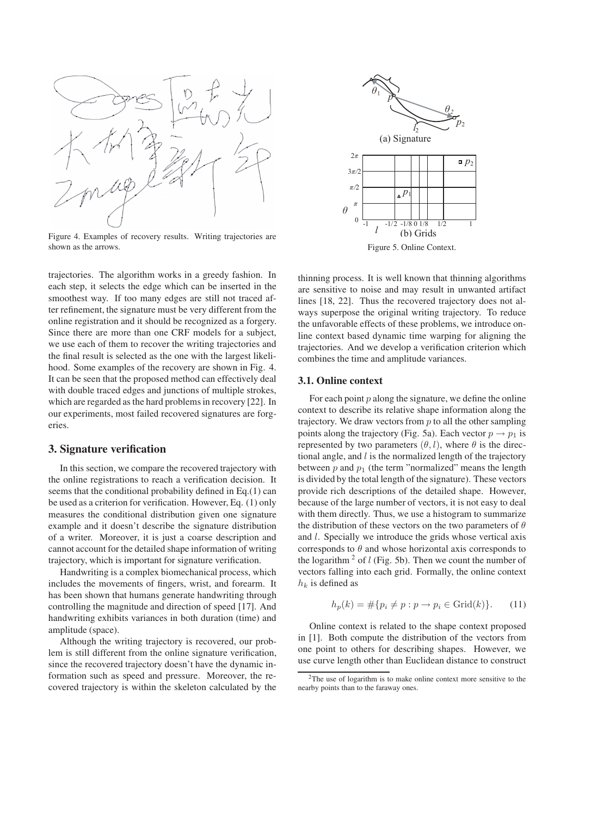

Figure 4. Examples of recovery results. Writing trajectories are shown as the arrows.

trajectories. The algorithm works in a greedy fashion. In each step, it selects the edge which can be inserted in the smoothest way. If too many edges are still not traced after refinement, the signature must be very different from the online registration and it should be recognized as a forgery. Since there are more than one CRF models for a subject, we use each of them to recover the writing trajectories and the final result is selected as the one with the largest likelihood. Some examples of the recovery are shown in Fig. 4. It can be seen that the proposed method can effectively deal with double traced edges and junctions of multiple strokes, which are regarded as the hard problems in recovery [22]. In our experiments, most failed recovered signatures are forgeries.

# **3. Signature verification**

In this section, we compare the recovered trajectory with the online registrations to reach a verification decision. It seems that the conditional probability defined in Eq.(1) can be used as a criterion for verification. However, Eq. (1) only measures the conditional distribution given one signature example and it doesn't describe the signature distribution of a writer. Moreover, it is just a coarse description and cannot account for the detailed shape information of writing trajectory, which is important for signature verification.

Handwriting is a complex biomechanical process, which includes the movements of fingers, wrist, and forearm. It has been shown that humans generate handwriting through controlling the magnitude and direction of speed [17]. And handwriting exhibits variances in both duration (time) and amplitude (space).

Although the writing trajectory is recovered, our problem is still different from the online signature verification, since the recovered trajectory doesn't have the dynamic information such as speed and pressure. Moreover, the recovered trajectory is within the skeleton calculated by the



Figure 5. Online Context.

thinning process. It is well known that thinning algorithms are sensitive to noise and may result in unwanted artifact lines [18, 22]. Thus the recovered trajectory does not always superpose the original writing trajectory. To reduce the unfavorable effects of these problems, we introduce online context based dynamic time warping for aligning the trajectories. And we develop a verification criterion which combines the time and amplitude variances.

# **3.1. Online context**

For each point  $p$  along the signature, we define the online context to describe its relative shape information along the trajectory. We draw vectors from  $p$  to all the other sampling points along the trajectory (Fig. 5a). Each vector  $p \rightarrow p_1$  is represented by two parameters  $(\theta, l)$ , where  $\theta$  is the directional angle, and  $l$  is the normalized length of the trajectory between  $p$  and  $p_1$  (the term "normalized" means the length is divided by the total length of the signature). These vectors provide rich descriptions of the detailed shape. However, because of the large number of vectors, it is not easy to deal with them directly. Thus, we use a histogram to summarize the distribution of these vectors on the two parameters of  $\theta$ and l. Specially we introduce the grids whose vertical axis corresponds to  $\theta$  and whose horizontal axis corresponds to the logarithm  $2$  of l (Fig. 5b). Then we count the number of vectors falling into each grid. Formally, the online context  $h_k$  is defined as

$$
h_p(k) = \#\{p_i \neq p : p \to p_i \in \text{Grid}(k)\}. \tag{11}
$$

Online context is related to the shape context proposed in [1]. Both compute the distribution of the vectors from one point to others for describing shapes. However, we use curve length other than Euclidean distance to construct

 $2^2$ The use of logarithm is to make online context more sensitive to the nearby points than to the faraway ones.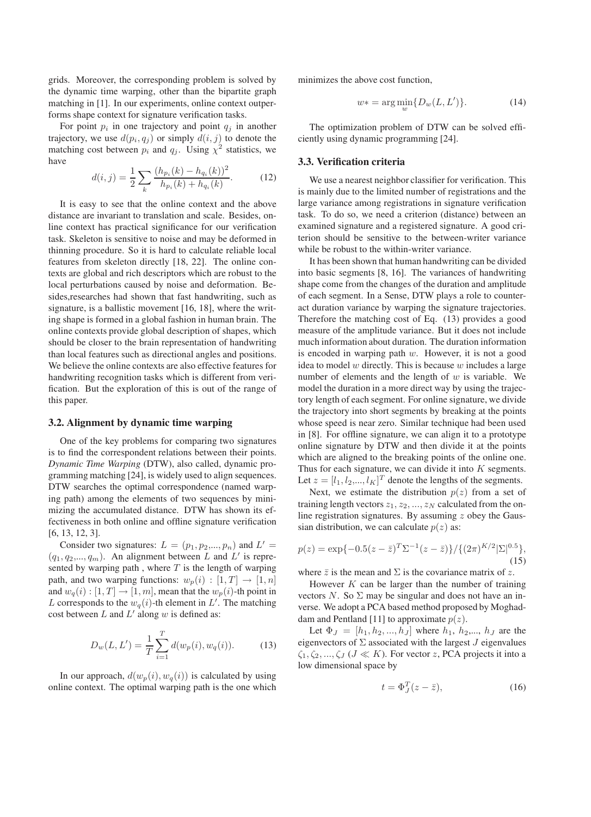grids. Moreover, the corresponding problem is solved by the dynamic time warping, other than the bipartite graph matching in [1]. In our experiments, online context outperforms shape context for signature verification tasks.

For point  $p_i$  in one trajectory and point  $q_j$  in another trajectory, we use  $d(p_i, q_j)$  or simply  $d(i, j)$  to denote the matching cost between  $p_i$  and  $q_j$ . Using  $\chi^2$  statistics, we have

$$
d(i,j) = \frac{1}{2} \sum_{k} \frac{(h_{p_i}(k) - h_{q_i}(k))^2}{h_{p_i}(k) + h_{q_i}(k)}.
$$
 (12)

It is easy to see that the online context and the above distance are invariant to translation and scale. Besides, online context has practical significance for our verification task. Skeleton is sensitive to noise and may be deformed in thinning procedure. So it is hard to calculate reliable local features from skeleton directly [18, 22]. The online contexts are global and rich descriptors which are robust to the local perturbations caused by noise and deformation. Besides,researches had shown that fast handwriting, such as signature, is a ballistic movement [16, 18], where the writing shape is formed in a global fashion in human brain. The online contexts provide global description of shapes, which should be closer to the brain representation of handwriting than local features such as directional angles and positions. We believe the online contexts are also effective features for handwriting recognition tasks which is different from verification. But the exploration of this is out of the range of this paper.

#### **3.2. Alignment by dynamic time warping**

One of the key problems for comparing two signatures is to find the correspondent relations between their points. *Dynamic Time Warping* (DTW), also called, dynamic programming matching [24], is widely used to align sequences. DTW searches the optimal correspondence (named warping path) among the elements of two sequences by minimizing the accumulated distance. DTW has shown its effectiveness in both online and offline signature verification [6, 13, 12, 3].

Consider two signatures:  $L = (p_1, p_2, ..., p_n)$  and  $L' =$  $(q_1, q_2,..., q_m)$ . An alignment between L and L' is represented by warping path, where  $T$  is the length of warping path, and two warping functions:  $w_p(i) : [1, T] \rightarrow [1, n]$ and  $w_q(i) : [1, T] \to [1, m]$ , mean that the  $w_p(i)$ -th point in L corresponds to the  $w_q(i)$ -th element in L'. The matching cost between  $L$  and  $L'$  along  $w$  is defined as:

$$
D_w(L, L') = \frac{1}{T} \sum_{i=1}^{T} d(w_p(i), w_q(i)).
$$
 (13)

In our approach,  $d(w_p(i), w_q(i))$  is calculated by using online context. The optimal warping path is the one which minimizes the above cost function,

$$
w* = \arg\min_{w} \{D_w(L, L')\}.
$$
 (14)

The optimization problem of DTW can be solved efficiently using dynamic programming [24].

### **3.3. Verification criteria**

We use a nearest neighbor classifier for verification. This is mainly due to the limited number of registrations and the large variance among registrations in signature verification task. To do so, we need a criterion (distance) between an examined signature and a registered signature. A good criterion should be sensitive to the between-writer variance while be robust to the within-writer variance.

It has been shown that human handwriting can be divided into basic segments [8, 16]. The variances of handwriting shape come from the changes of the duration and amplitude of each segment. In a Sense, DTW plays a role to counteract duration variance by warping the signature trajectories. Therefore the matching cost of Eq. (13) provides a good measure of the amplitude variance. But it does not include much information about duration. The duration information is encoded in warping path w. However, it is not a good idea to model  $w$  directly. This is because  $w$  includes a large number of elements and the length of  $w$  is variable. We model the duration in a more direct way by using the trajectory length of each segment. For online signature, we divide the trajectory into short segments by breaking at the points whose speed is near zero. Similar technique had been used in [8]. For offline signature, we can align it to a prototype online signature by DTW and then divide it at the points which are aligned to the breaking points of the online one. Thus for each signature, we can divide it into  $K$  segments. Let  $z = [l_1, l_2, ..., l_K]^T$  denote the lengths of the segments.

Next, we estimate the distribution  $p(z)$  from a set of training length vectors  $z_1, z_2, ..., z_N$  calculated from the online registration signatures. By assuming  $z$  obey the Gaussian distribution, we can calculate  $p(z)$  as:

$$
p(z) = \exp\{-0.5(z-\bar{z})^T \Sigma^{-1} (z-\bar{z})\} / \{(2\pi)^{K/2} |\Sigma|^{0.5}\},\tag{15}
$$

where  $\bar{z}$  is the mean and  $\Sigma$  is the covariance matrix of z.

However  $K$  can be larger than the number of training vectors N. So  $\Sigma$  may be singular and does not have an inverse. We adopt a PCA based method proposed by Moghaddam and Pentland [11] to approximate  $p(z)$ .

Let  $\Phi_J = [h_1, h_2, ..., h_J]$  where  $h_1, h_2, ..., h_J$  are the eigenvectors of  $\Sigma$  associated with the largest  $J$  eigenvalues  $\zeta_1, \zeta_2, ..., \zeta_J$  ( $J \ll K$ ). For vector z, PCA projects it into a low dimensional space by

$$
t = \Phi_J^T(z - \bar{z}),\tag{16}
$$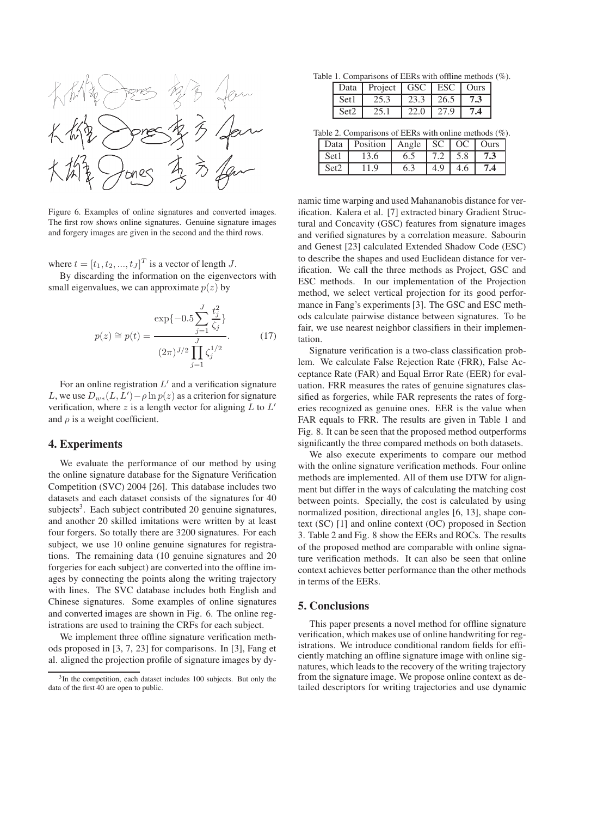

Figure 6. Examples of online signatures and converted images. The first row shows online signatures. Genuine signature images and forgery images are given in the second and the third rows.

where  $t = [t_1, t_2, ..., t_J]^T$  is a vector of length *J*.

By discarding the information on the eigenvectors with small eigenvalues, we can approximate  $p(z)$  by

$$
p(z) \cong p(t) = \frac{\exp\{-0.5\sum_{j=1}^{J} \frac{t_j^2}{\zeta_j}\}}{(2\pi)^{J/2} \prod_{j=1}^{J} \zeta_j^{1/2}}.
$$
 (17)

For an online registration  $L'$  and a verification signature L, we use  $D_{w*}(L, L') - \rho \ln p(z)$  as a criterion for signature verification, where z is a length vector for aligning  $L$  to  $L'$ and  $\rho$  is a weight coefficient.

#### **4. Experiments**

We evaluate the performance of our method by using the online signature database for the Signature Verification Competition (SVC) 2004 [26]. This database includes two datasets and each dataset consists of the signatures for 40 subjects<sup>3</sup>. Each subject contributed 20 genuine signatures, and another 20 skilled imitations were written by at least four forgers. So totally there are 3200 signatures. For each subject, we use 10 online genuine signatures for registrations. The remaining data (10 genuine signatures and 20 forgeries for each subject) are converted into the offline images by connecting the points along the writing trajectory with lines. The SVC database includes both English and Chinese signatures. Some examples of online signatures and converted images are shown in Fig. 6. The online registrations are used to training the CRFs for each subject.

We implement three offline signature verification methods proposed in [3, 7, 23] for comparisons. In [3], Fang et al. aligned the projection profile of signature images by dy-

Table 1. Comparisons of EERs with offline methods (%).

| Data             | Project   GSC   ESC   Ours |      |      |     |
|------------------|----------------------------|------|------|-----|
| Set <sub>1</sub> | 25.3                       | 23.3 | 26.5 | 7.3 |
| Set2             |                            | 22.0 | 27.9 |     |

Table 2. Comparisons of EERs with online methods (%).

| Data  | Position   Angle   SC   OC   Ours |     |  |     |
|-------|-----------------------------------|-----|--|-----|
| Set 1 | 3.6                               | 6.5 |  |     |
|       |                                   |     |  | 7.4 |

namic time warping and used Mahananobis distance for verification. Kalera et al. [7] extracted binary Gradient Structural and Concavity (GSC) features from signature images and verified signatures by a correlation measure. Sabourin and Genest [23] calculated Extended Shadow Code (ESC) to describe the shapes and used Euclidean distance for verification. We call the three methods as Project, GSC and ESC methods. In our implementation of the Projection method, we select vertical projection for its good performance in Fang's experiments [3]. The GSC and ESC methods calculate pairwise distance between signatures. To be fair, we use nearest neighbor classifiers in their implementation.

Signature verification is a two-class classification problem. We calculate False Rejection Rate (FRR), False Acceptance Rate (FAR) and Equal Error Rate (EER) for evaluation. FRR measures the rates of genuine signatures classified as forgeries, while FAR represents the rates of forgeries recognized as genuine ones. EER is the value when FAR equals to FRR. The results are given in Table 1 and Fig. 8. It can be seen that the proposed method outperforms significantly the three compared methods on both datasets.

We also execute experiments to compare our method with the online signature verification methods. Four online methods are implemented. All of them use DTW for alignment but differ in the ways of calculating the matching cost between points. Specially, the cost is calculated by using normalized position, directional angles [6, 13], shape context (SC) [1] and online context (OC) proposed in Section 3. Table 2 and Fig. 8 show the EERs and ROCs. The results of the proposed method are comparable with online signature verification methods. It can also be seen that online context achieves better performance than the other methods in terms of the EERs.

### **5. Conclusions**

This paper presents a novel method for offline signature verification, which makes use of online handwriting for registrations. We introduce conditional random fields for efficiently matching an offline signature image with online signatures, which leads to the recovery of the writing trajectory from the signature image. We propose online context as detailed descriptors for writing trajectories and use dynamic

 $3\text{In the competition, each dataset includes 100 subjects. But only the$ data of the first 40 are open to public.